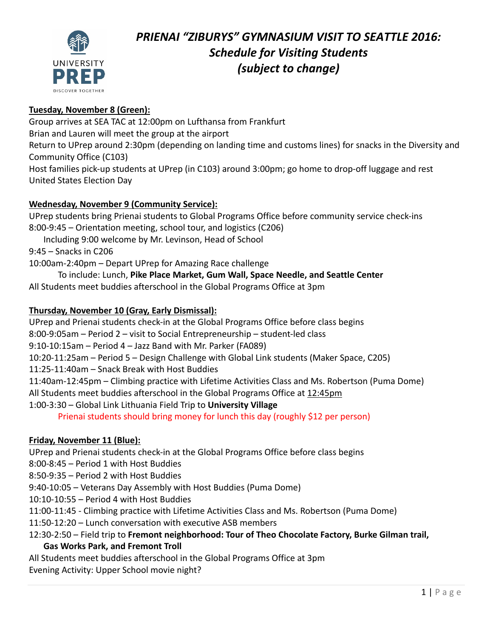

# *PRIENAI "ZIBURYS" GYMNASIUM VISIT TO SEATTLE 2016: Schedule for Visiting Students (subject to change)*

# **Tuesday, November 8 (Green):**

Group arrives at SEA TAC at 12:00pm on Lufthansa from Frankfurt Brian and Lauren will meet the group at the airport Return to UPrep around 2:30pm (depending on landing time and customs lines) for snacks in the Diversity and Community Office (C103) Host families pick‐up students at UPrep (in C103) around 3:00pm; go home to drop‐off luggage and rest United States Election Day

# **Wednesday, November 9 (Community Service):**

UPrep students bring Prienai students to Global Programs Office before community service check‐ins 8:00‐9:45 – Orientation meeting, school tour, and logistics (C206)

Including 9:00 welcome by Mr. Levinson, Head of School

9:45 – Snacks in C206

10:00am‐2:40pm – Depart UPrep for Amazing Race challenge

To include: Lunch, **Pike Place Market, Gum Wall, Space Needle, and Seattle Center** All Students meet buddies afterschool in the Global Programs Office at 3pm

#### **Thursday, November 10 (Gray, Early Dismissal):**

UPrep and Prienai students check‐in at the Global Programs Office before class begins

8:00‐9:05am – Period 2 – visit to Social Entrepreneurship – student‐led class

9:10‐10:15am – Period 4 – Jazz Band with Mr. Parker (FA089)

10:20‐11:25am – Period 5 – Design Challenge with Global Link students (Maker Space, C205)

11:25‐11:40am – Snack Break with Host Buddies

11:40am‐12:45pm – Climbing practice with Lifetime Activities Class and Ms. Robertson (Puma Dome)

All Students meet buddies afterschool in the Global Programs Office at 12:45pm

# 1:00‐3:30 – Global Link Lithuania Field Trip to **University Village**

Prienai students should bring money for lunch this day (roughly \$12 per person)

# **Friday, November 11 (Blue):**

UPrep and Prienai students check‐in at the Global Programs Office before class begins

8:00‐8:45 – Period 1 with Host Buddies

8:50‐9:35 – Period 2 with Host Buddies

9:40‐10:05 – Veterans Day Assembly with Host Buddies (Puma Dome)

10:10‐10:55 – Period 4 with Host Buddies

11:00‐11:45 ‐ Climbing practice with Lifetime Activities Class and Ms. Robertson (Puma Dome)

11:50‐12:20 – Lunch conversation with executive ASB members

# 12:30‐2:50 – Field trip to **Fremont neighborhood: Tour of Theo Chocolate Factory, Burke Gilman trail, Gas Works Park, and Fremont Troll**

All Students meet buddies afterschool in the Global Programs Office at 3pm Evening Activity: Upper School movie night?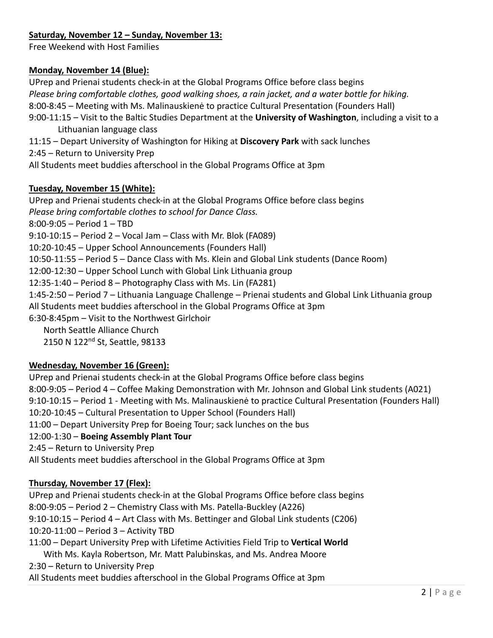# **Saturday, November 12 – Sunday, November 13:**

Free Weekend with Host Families

#### **Monday, November 14 (Blue):**

UPrep and Prienai students check‐in at the Global Programs Office before class begins *Please bring comfortable clothes, good walking shoes, a rain jacket, and a water bottle for hiking.* 8:00‐8:45 – Meeting with Ms. Malinauskienė to practice Cultural Presentation (Founders Hall)

9:00‐11:15 – Visit to the Baltic Studies Department at the **University of Washington**, including a visit to a Lithuanian language class

11:15 – Depart University of Washington for Hiking at **Discovery Park** with sack lunches

2:45 – Return to University Prep

All Students meet buddies afterschool in the Global Programs Office at 3pm

#### **Tuesday, November 15 (White):**

UPrep and Prienai students check‐in at the Global Programs Office before class begins *Please bring comfortable clothes to school for Dance Class.* 8:00‐9:05 – Period 1 – TBD 9:10‐10:15 – Period 2 – Vocal Jam – Class with Mr. Blok (FA089) 10:20‐10:45 – Upper School Announcements (Founders Hall) 10:50‐11:55 – Period 5 – Dance Class with Ms. Klein and Global Link students (Dance Room) 12:00‐12:30 – Upper School Lunch with Global Link Lithuania group 12:35‐1:40 – Period 8 – Photography Class with Ms. Lin (FA281) 1:45‐2:50 – Period 7 – Lithuania Language Challenge – Prienai students and Global Link Lithuania group All Students meet buddies afterschool in the Global Programs Office at 3pm 6:30‐8:45pm – Visit to the Northwest Girlchoir North Seattle Alliance Church 2150 N 122nd St, Seattle, 98133

#### **Wednesday, November 16 (Green):**

UPrep and Prienai students check‐in at the Global Programs Office before class begins 8:00‐9:05 – Period 4 – Coffee Making Demonstration with Mr. Johnson and Global Link students (A021) 9:10‐10:15 – Period 1 ‐ Meeting with Ms. Malinauskienė to practice Cultural Presentation (Founders Hall) 10:20‐10:45 – Cultural Presentation to Upper School (Founders Hall) 11:00 – Depart University Prep for Boeing Tour; sack lunches on the bus 12:00‐1:30 – **Boeing Assembly Plant Tour** 2:45 – Return to University Prep All Students meet buddies afterschool in the Global Programs Office at 3pm

#### **Thursday, November 17 (Flex):**

UPrep and Prienai students check‐in at the Global Programs Office before class begins 8:00‐9:05 – Period 2 – Chemistry Class with Ms. Patella‐Buckley (A226) 9:10‐10:15 – Period 4 – Art Class with Ms. Bettinger and Global Link students (C206) 10:20‐11:00 – Period 3 – Activity TBD 11:00 – Depart University Prep with Lifetime Activities Field Trip to **Vertical World** With Ms. Kayla Robertson, Mr. Matt Palubinskas, and Ms. Andrea Moore 2:30 – Return to University Prep

All Students meet buddies afterschool in the Global Programs Office at 3pm